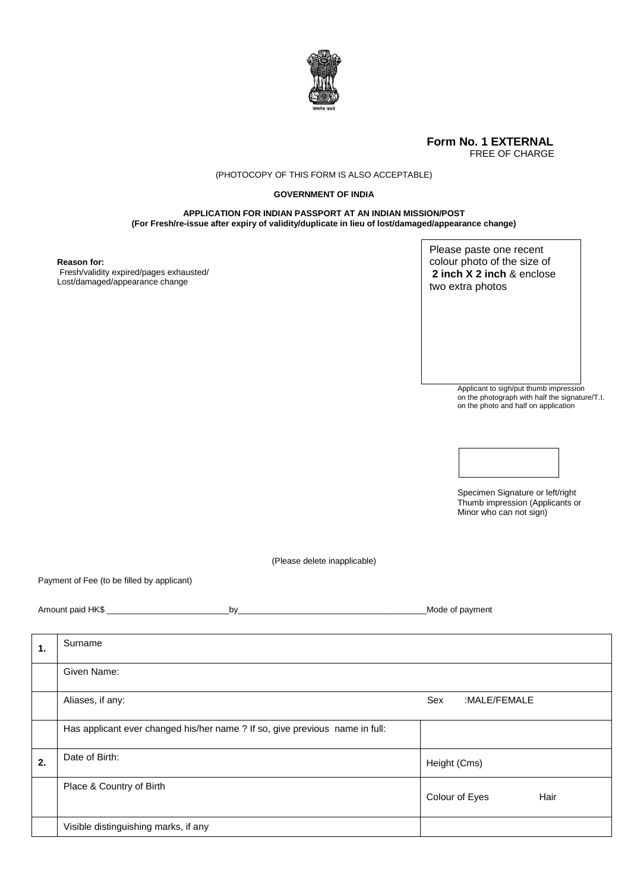

## **Form No. 1 EXTERNAL** FREE OF CHARGE

## (PHOTOCOPY OF THIS FORM IS ALSO ACCEPTABLE)

## **GOVERNMENT OF INDIA**

**APPLICATION FOR INDIAN PASSPORT AT AN INDIAN MISSION/POST (For Fresh/re-issue after expiry of validity/duplicate in lieu of lost/damaged/appearance change)**

**Reason for:**

Fresh/validity expired/pages exhausted/ Lost/damaged/appearance change

Please paste one recent colour photo of the size of **2 inch X 2 inch** & enclose two extra photos

> Applicant to sigh/put thumb impression on the photograph with half the signature/T.I. on the photo and half on application



Specimen Signature or left/right Thumb impression (Applicants or Minor who can not sign)

(Please delete inapplicable)

Payment of Fee (to be filled by applicant)

| Amount paid HK\$<br>Mode of payment<br>h۷ |  |
|-------------------------------------------|--|
|-------------------------------------------|--|

| 1. | Surname                                                                      |                        |
|----|------------------------------------------------------------------------------|------------------------|
|    | Given Name:                                                                  |                        |
|    | Aliases, if any:                                                             | Sex<br>:MALE/FEMALE    |
|    | Has applicant ever changed his/her name ? If so, give previous name in full: |                        |
| 2. | Date of Birth:                                                               | Height (Cms)           |
|    | Place & Country of Birth                                                     | Colour of Eyes<br>Hair |
|    | Visible distinguishing marks, if any                                         |                        |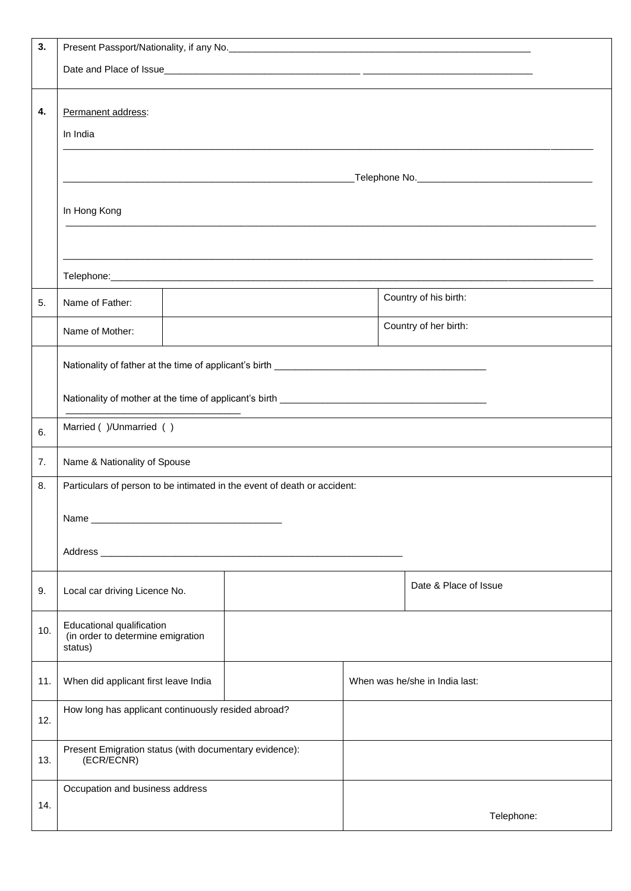| 3.  |                                                                           |                                                                                                                                                                                                                                |  |                                |
|-----|---------------------------------------------------------------------------|--------------------------------------------------------------------------------------------------------------------------------------------------------------------------------------------------------------------------------|--|--------------------------------|
|     |                                                                           |                                                                                                                                                                                                                                |  |                                |
|     |                                                                           |                                                                                                                                                                                                                                |  |                                |
| 4.  | Permanent address:                                                        |                                                                                                                                                                                                                                |  |                                |
|     | In India                                                                  |                                                                                                                                                                                                                                |  |                                |
|     |                                                                           |                                                                                                                                                                                                                                |  |                                |
|     |                                                                           |                                                                                                                                                                                                                                |  |                                |
|     | In Hong Kong                                                              |                                                                                                                                                                                                                                |  |                                |
|     |                                                                           |                                                                                                                                                                                                                                |  |                                |
|     |                                                                           |                                                                                                                                                                                                                                |  |                                |
|     |                                                                           |                                                                                                                                                                                                                                |  |                                |
| 5.  | Name of Father:                                                           |                                                                                                                                                                                                                                |  | Country of his birth:          |
|     |                                                                           |                                                                                                                                                                                                                                |  |                                |
|     | Name of Mother:                                                           |                                                                                                                                                                                                                                |  | Country of her birth:          |
|     |                                                                           |                                                                                                                                                                                                                                |  |                                |
|     |                                                                           |                                                                                                                                                                                                                                |  |                                |
|     |                                                                           | — 1990 года в село в 1990 года в 1990 года в 1990 года в 1990 года в 1990 года в 1990 года в 1990 года в 1990 года в 1990 года в 1990 года в 1990 года в 1990 года в 1990 года в 1990 года в 1990 года в 1990 года в 1990 года |  |                                |
| 6.  | Married ( )/Unmarried ( )                                                 |                                                                                                                                                                                                                                |  |                                |
| 7.  | Name & Nationality of Spouse                                              |                                                                                                                                                                                                                                |  |                                |
| 8.  |                                                                           | Particulars of person to be intimated in the event of death or accident:                                                                                                                                                       |  |                                |
|     |                                                                           |                                                                                                                                                                                                                                |  |                                |
|     |                                                                           |                                                                                                                                                                                                                                |  |                                |
|     |                                                                           | Address and the contract of the contract of the contract of the contract of the contract of the contract of the contract of the contract of the contract of the contract of the contract of the contract of the contract of th |  |                                |
| 9.  | Local car driving Licence No.                                             |                                                                                                                                                                                                                                |  | Date & Place of Issue          |
| 10. | Educational qualification<br>(in order to determine emigration<br>status) |                                                                                                                                                                                                                                |  |                                |
| 11. | When did applicant first leave India                                      |                                                                                                                                                                                                                                |  | When was he/she in India last: |
| 12. | How long has applicant continuously resided abroad?                       |                                                                                                                                                                                                                                |  |                                |
| 13. | Present Emigration status (with documentary evidence):<br>(ECR/ECNR)      |                                                                                                                                                                                                                                |  |                                |
|     | Occupation and business address                                           |                                                                                                                                                                                                                                |  |                                |
| 14. |                                                                           |                                                                                                                                                                                                                                |  | Telephone:                     |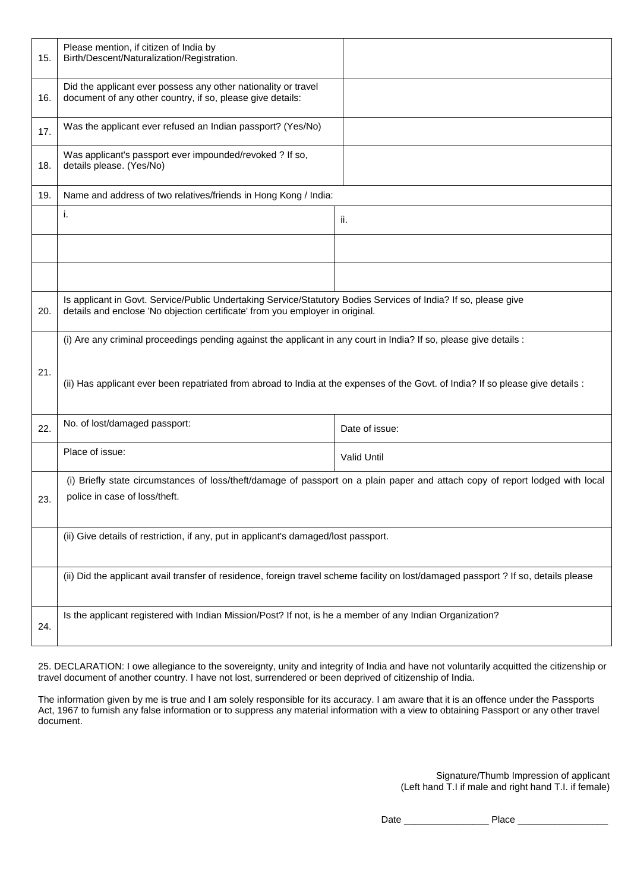| 15. | Please mention, if citizen of India by<br>Birth/Descent/Naturalization/Registration.                                                                                                             |                                                                                                                               |
|-----|--------------------------------------------------------------------------------------------------------------------------------------------------------------------------------------------------|-------------------------------------------------------------------------------------------------------------------------------|
| 16. | Did the applicant ever possess any other nationality or travel<br>document of any other country, if so, please give details:                                                                     |                                                                                                                               |
| 17. | Was the applicant ever refused an Indian passport? (Yes/No)                                                                                                                                      |                                                                                                                               |
| 18. | Was applicant's passport ever impounded/revoked ? If so,<br>details please. (Yes/No)                                                                                                             |                                                                                                                               |
| 19. | Name and address of two relatives/friends in Hong Kong / India:                                                                                                                                  |                                                                                                                               |
|     | i.                                                                                                                                                                                               | ii.                                                                                                                           |
|     |                                                                                                                                                                                                  |                                                                                                                               |
|     |                                                                                                                                                                                                  |                                                                                                                               |
| 20. | Is applicant in Govt. Service/Public Undertaking Service/Statutory Bodies Services of India? If so, please give<br>details and enclose 'No objection certificate' from you employer in original. |                                                                                                                               |
|     | (i) Are any criminal proceedings pending against the applicant in any court in India? If so, please give details :                                                                               |                                                                                                                               |
| 21. | (ii) Has applicant ever been repatriated from abroad to India at the expenses of the Govt. of India? If so please give details :                                                                 |                                                                                                                               |
| 22. | No. of lost/damaged passport:                                                                                                                                                                    | Date of issue:                                                                                                                |
|     | Place of issue:                                                                                                                                                                                  | <b>Valid Until</b>                                                                                                            |
|     |                                                                                                                                                                                                  | (i) Briefly state circumstances of loss/theft/damage of passport on a plain paper and attach copy of report lodged with local |
| 23. | police in case of loss/theft.                                                                                                                                                                    |                                                                                                                               |
|     | (ii) Give details of restriction, if any, put in applicant's damaged/lost passport.                                                                                                              |                                                                                                                               |
|     | (ii) Did the applicant avail transfer of residence, foreign travel scheme facility on lost/damaged passport ? If so, details please                                                              |                                                                                                                               |
| 24. | Is the applicant registered with Indian Mission/Post? If not, is he a member of any Indian Organization?                                                                                         |                                                                                                                               |

25. DECLARATION: I owe allegiance to the sovereignty, unity and integrity of India and have not voluntarily acquitted the citizenship or travel document of another country. I have not lost, surrendered or been deprived of citizenship of India.

The information given by me is true and I am solely responsible for its accuracy. I am aware that it is an offence under the Passports Act, 1967 to furnish any false information or to suppress any material information with a view to obtaining Passport or any other travel document.

> Signature/Thumb Impression of applicant (Left hand T.I if male and right hand T.I. if female)

Date \_\_\_\_\_\_\_\_\_\_\_\_\_\_\_\_ Place \_\_\_\_\_\_\_\_\_\_\_\_\_\_\_\_\_